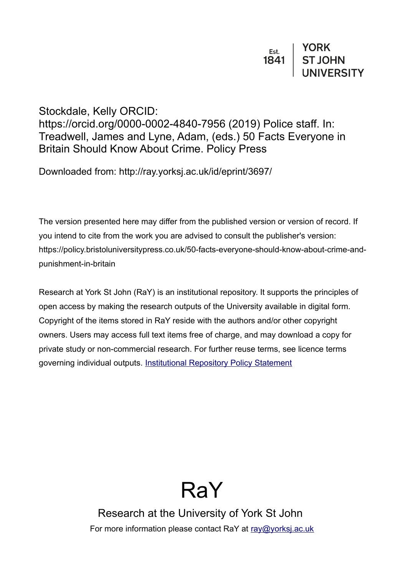## Stockdale, Kelly ORCID: https://orcid.org/0000-0002-4840-7956 (2019) Police staff. In: Treadwell, James and Lyne, Adam, (eds.) 50 Facts Everyone in Britain Should Know About Crime. Policy Press

Downloaded from: http://ray.yorksj.ac.uk/id/eprint/3697/

The version presented here may differ from the published version or version of record. If you intend to cite from the work you are advised to consult the publisher's version: https://policy.bristoluniversitypress.co.uk/50-facts-everyone-should-know-about-crime-andpunishment-in-britain

Research at York St John (RaY) is an institutional repository. It supports the principles of open access by making the research outputs of the University available in digital form. Copyright of the items stored in RaY reside with the authors and/or other copyright owners. Users may access full text items free of charge, and may download a copy for private study or non-commercial research. For further reuse terms, see licence terms governing individual outputs. [Institutional Repository Policy Statement](https://www.yorksj.ac.uk/ils/repository-policies/)



Research at the University of York St John For more information please contact RaY at [ray@yorksj.ac.uk](mailto:ray@yorksj.ac.uk)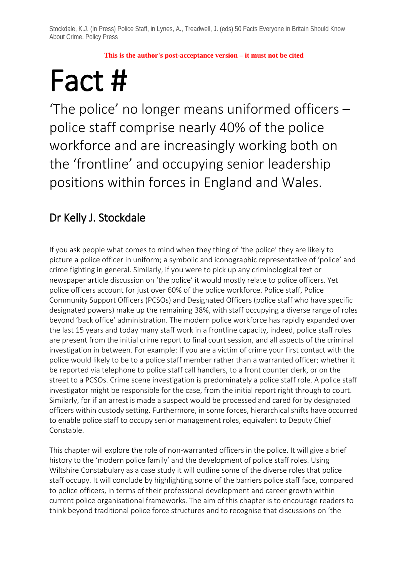**This is the author's post-acceptance version – it must not be cited**

**Fact #**  $\overline{F}$  **Fact #**  $\overline{F}$  is the police' no longer means uniformed officers – police staff comprise nearly 40% of the police workforce and are increasingly working both on the 'frontline' and occupying senior leadership positions within forces in England and Wales.

## Dr Kelly J. Stockdale

If you ask people what comes to mind when they thing of 'the police' they are likely to picture a police officer in uniform; a symbolic and iconographic representative of 'police' and crime fighting in general. Similarly, if you were to pick up any criminological text or newspaper article discussion on 'the police' it would mostly relate to police officers. Yet police officers account for just over 60% of the police workforce. Police staff, Police Community Support Officers (PCSOs) and Designated Officers (police staff who have specific designated powers) make up the remaining 38%, with staff occupying a diverse range of roles beyond 'back office' administration. The modern police workforce has rapidly expanded over the last 15 years and today many staff work in a frontline capacity, indeed, police staff roles are present from the initial crime report to final court session, and all aspects of the criminal investigation in between. For example: If you are a victim of crime your first contact with the police would likely to be to a police staff member rather than a warranted officer; whether it be reported via telephone to police staff call handlers, to a front counter clerk, or on the street to a PCSOs. Crime scene investigation is predominately a police staff role. A police staff investigator might be responsible for the case, from the initial report right through to court. Similarly, for if an arrest is made a suspect would be processed and cared for by designated officers within custody setting. Furthermore, in some forces, hierarchical shifts have occurred to enable police staff to occupy senior management roles, equivalent to Deputy Chief Constable.

This chapter will explore the role of non-warranted officers in the police. It will give a brief history to the 'modern police family' and the development of police staff roles. Using Wiltshire Constabulary as a case study it will outline some of the diverse roles that police staff occupy. It will conclude by highlighting some of the barriers police staff face, compared to police officers, in terms of their professional development and career growth within current police organisational frameworks. The aim of this chapter is to encourage readers to think beyond traditional police force structures and to recognise that discussions on 'the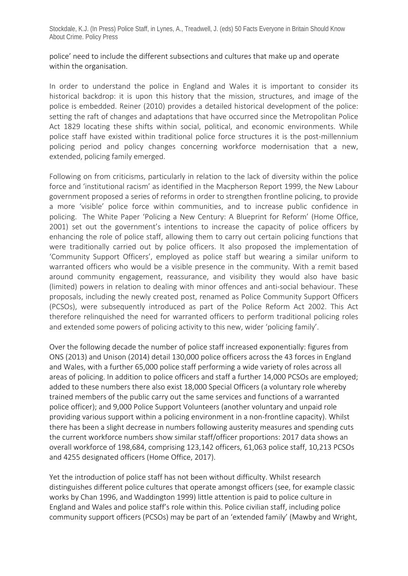police' need to include the different subsections and cultures that make up and operate within the organisation.

In order to understand the police in England and Wales it is important to consider its historical backdrop: it is upon this history that the mission, structures, and image of the police is embedded. Reiner (2010) provides a detailed historical development of the police: setting the raft of changes and adaptations that have occurred since the Metropolitan Police Act 1829 locating these shifts within social, political, and economic environments. While police staff have existed within traditional police force structures it is the post-millennium policing period and policy changes concerning workforce modernisation that a new, extended, policing family emerged.

Following on from criticisms, particularly in relation to the lack of diversity within the police force and 'institutional racism' as identified in the Macpherson Report 1999, the New Labour government proposed a series of reforms in order to strengthen frontline policing, to provide a more 'visible' police force within communities, and to increase public confidence in policing. The White Paper 'Policing a New Century: A Blueprint for Reform' (Home Office, 2001) set out the government's intentions to increase the capacity of police officers by enhancing the role of police staff, allowing them to carry out certain policing functions that were traditionally carried out by police officers. It also proposed the implementation of 'Community Support Officers', employed as police staff but wearing a similar uniform to warranted officers who would be a visible presence in the community. With a remit based around community engagement, reassurance, and visibility they would also have basic (limited) powers in relation to dealing with minor offences and anti-social behaviour. These proposals, including the newly created post, renamed as Police Community Support Officers (PCSOs), were subsequently introduced as part of the Police Reform Act 2002. This Act therefore relinquished the need for warranted officers to perform traditional policing roles and extended some powers of policing activity to this new, wider 'policing family'.

Over the following decade the number of police staff increased exponentially: figures from ONS (2013) and Unison (2014) detail 130,000 police officers across the 43 forces in England and Wales, with a further 65,000 police staff performing a wide variety of roles across all areas of policing. In addition to police officers and staff a further 14,000 PCSOs are employed; added to these numbers there also exist 18,000 Special Officers (a voluntary role whereby trained members of the public carry out the same services and functions of a warranted police officer); and 9,000 Police Support Volunteers (another voluntary and unpaid role providing various support within a policing environment in a non-frontline capacity). Whilst there has been a slight decrease in numbers following austerity measures and spending cuts the current workforce numbers show similar staff/officer proportions: 2017 data shows an overall workforce of 198,684, comprising 123,142 officers, 61,063 police staff, 10,213 PCSOs and 4255 designated officers (Home Office, 2017).

Yet the introduction of police staff has not been without difficulty. Whilst research distinguishes different police cultures that operate amongst officers (see, for example classic works by Chan 1996, and Waddington 1999) little attention is paid to police culture in England and Wales and police staff's role within this. Police civilian staff, including police community support officers (PCSOs) may be part of an 'extended family' (Mawby and Wright,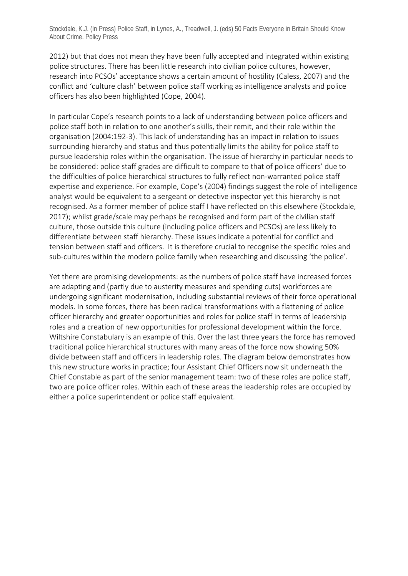2012) but that does not mean they have been fully accepted and integrated within existing police structures. There has been little research into civilian police cultures, however, research into PCSOs' acceptance shows a certain amount of hostility (Caless, 2007) and the conflict and 'culture clash' between police staff working as intelligence analysts and police officers has also been highlighted (Cope, 2004).

In particular Cope's research points to a lack of understanding between police officers and police staff both in relation to one another's skills, their remit, and their role within the organisation (2004:192-3). This lack of understanding has an impact in relation to issues surrounding hierarchy and status and thus potentially limits the ability for police staff to pursue leadership roles within the organisation. The issue of hierarchy in particular needs to be considered: police staff grades are difficult to compare to that of police officers' due to the difficulties of police hierarchical structures to fully reflect non-warranted police staff expertise and experience. For example, Cope's (2004) findings suggest the role of intelligence analyst would be equivalent to a sergeant or detective inspector yet this hierarchy is not recognised. As a former member of police staff I have reflected on this elsewhere (Stockdale, 2017); whilst grade/scale may perhaps be recognised and form part of the civilian staff culture, those outside this culture (including police officers and PCSOs) are less likely to differentiate between staff hierarchy. These issues indicate a potential for conflict and tension between staff and officers. It is therefore crucial to recognise the specific roles and sub-cultures within the modern police family when researching and discussing 'the police'.

Yet there are promising developments: as the numbers of police staff have increased forces are adapting and (partly due to austerity measures and spending cuts) workforces are undergoing significant modernisation, including substantial reviews of their force operational models. In some forces, there has been radical transformations with a flattening of police officer hierarchy and greater opportunities and roles for police staff in terms of leadership roles and a creation of new opportunities for professional development within the force. Wiltshire Constabulary is an example of this. Over the last three years the force has removed traditional police hierarchical structures with many areas of the force now showing 50% divide between staff and officers in leadership roles. The diagram below demonstrates how this new structure works in practice; four Assistant Chief Officers now sit underneath the Chief Constable as part of the senior management team: two of these roles are police staff, two are police officer roles. Within each of these areas the leadership roles are occupied by either a police superintendent or police staff equivalent.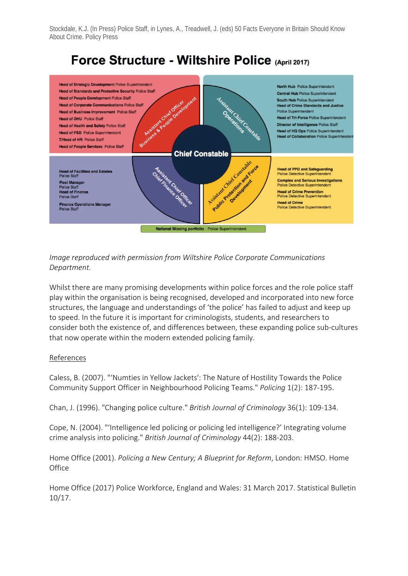# Force Structure - Wiltshire Police (April 2017)



### *Image reproduced with permission from Wiltshire Police Corporate Communications Department.*

Whilst there are many promising developments within police forces and the role police staff play within the organisation is being recognised, developed and incorporated into new force structures, the language and understandings of 'the police' has failed to adjust and keep up to speed. In the future it is important for criminologists, students, and researchers to consider both the existence of, and differences between, these expanding police sub-cultures that now operate within the modern extended policing family.

#### References

Caless, B. (2007). "'Numties in Yellow Jackets′: The Nature of Hostility Towards the Police Community Support Officer in Neighbourhood Policing Teams." *Policing* 1(2): 187-195.

Chan, J. (1996). "Changing police culture." *British Journal of Criminology* 36(1): 109-134.

Cope, N. (2004). "'Intelligence led policing or policing led intelligence?' Integrating volume crime analysis into policing." *British Journal of Criminology* 44(2): 188-203.

Home Office (2001). *Policing a New Century; A Blueprint for Reform*, London: HMSO. Home **Office** 

Home Office (2017) Police Workforce, England and Wales: 31 March 2017. Statistical Bulletin 10/17.